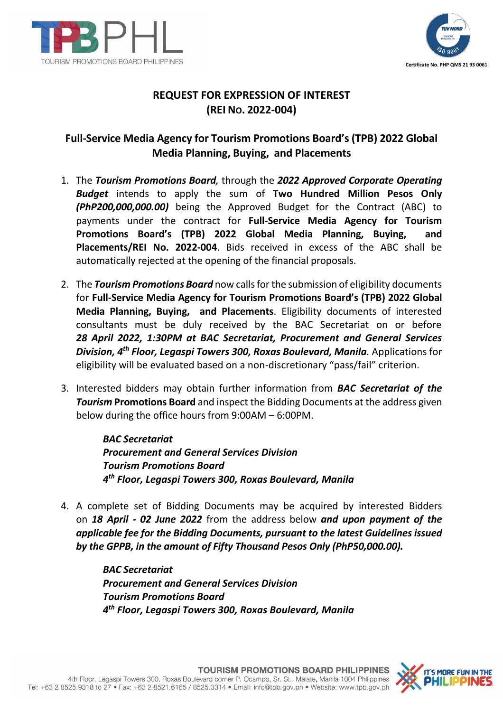



## **REQUEST FOR EXPRESSION OF INTEREST (REI NO. 2022-004)**

## **Full-Service Media Agency for Tourism Promotions Board's (TPB) 2022 Global Media Planning, Buying, and Placements**

- 1. The *Tourism Promotions Board,* through the *2022 Approved Corporate Operating Budget* intends to apply the sum of **Two Hundred Million Pesos Only**  *(PhP200,000,000.00)* being the Approved Budget for the Contract (ABC) to payments under the contract for **Full-Service Media Agency for Tourism Promotions Board's (TPB) 2022 Global Media Planning, Buying, and Placements/REI No. 2022-004**. Bids received in excess of the ABC shall be automatically rejected at the opening of the financial proposals.
- 2. The *Tourism Promotions Board* now calls for the submission of eligibility documents for **Full-Service Media Agency for Tourism Promotions Board's (TPB) 2022 Global Media Planning, Buying, and Placements**. Eligibility documents of interested consultants must be duly received by the BAC Secretariat on or before *28 April 2022, 1:30PM at BAC Secretariat, Procurement and General Services Division, 4th Floor, Legaspi Towers 300, Roxas Boulevard, Manila.* Applications for eligibility will be evaluated based on a non-discretionary "pass/fail" criterion.
- 3. Interested bidders may obtain further information from *BAC Secretariat of the Tourism* **Promotions Board** and inspect the Bidding Documents at the address given below during the office hours from 9:00AM – 6:00PM.

*BAC Secretariat Procurement and General Services Division Tourism Promotions Board 4 th Floor, Legaspi Towers 300, Roxas Boulevard, Manila*

4. A complete set of Bidding Documents may be acquired by interested Bidders on *18 April - 02 June 2022* from the address below *and upon payment of the applicable fee for the Bidding Documents, pursuant to the latest Guidelines issued by the GPPB, in the amount of Fifty Thousand Pesos Only (PhP50,000.00).*

> *BAC Secretariat Procurement and General Services Division Tourism Promotions Board 4 th Floor, Legaspi Towers 300, Roxas Boulevard, Manila*

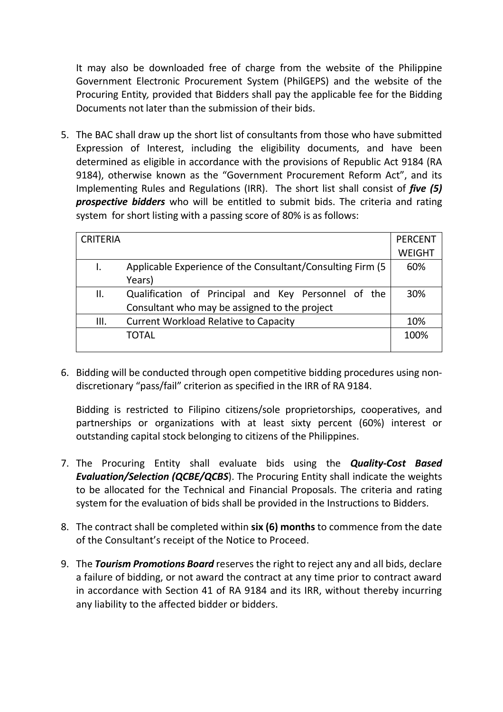It may also be downloaded free of charge from the website of the Philippine Government Electronic Procurement System (PhilGEPS) and the website of the Procuring Entity*,* provided that Bidders shall pay the applicable fee for the Bidding Documents not later than the submission of their bids.

5. The BAC shall draw up the short list of consultants from those who have submitted Expression of Interest, including the eligibility documents, and have been determined as eligible in accordance with the provisions of Republic Act 9184 (RA 9184), otherwise known as the "Government Procurement Reform Act", and its Implementing Rules and Regulations (IRR). The short list shall consist of *five (5) prospective bidders* who will be entitled to submit bids. The criteria and rating system for short listing with a passing score of 80% is as follows:

| <b>CRITERIA</b> |                                                             | <b>PERCENT</b> |
|-----------------|-------------------------------------------------------------|----------------|
|                 |                                                             | <b>WEIGHT</b>  |
|                 | Applicable Experience of the Consultant/Consulting Firm (5) | 60%            |
|                 | Years)                                                      |                |
| II.             | Qualification of Principal and Key Personnel of the         | 30%            |
|                 | Consultant who may be assigned to the project               |                |
| Ш.              | <b>Current Workload Relative to Capacity</b>                | 10%            |
|                 | TOTAL                                                       | 100%           |
|                 |                                                             |                |

6. Bidding will be conducted through open competitive bidding procedures using nondiscretionary "pass/fail" criterion as specified in the IRR of RA 9184.

Bidding is restricted to Filipino citizens/sole proprietorships, cooperatives, and partnerships or organizations with at least sixty percent (60%) interest or outstanding capital stock belonging to citizens of the Philippines.

- 7. The Procuring Entity shall evaluate bids using the *Quality-Cost Based Evaluation/Selection (QCBE/QCBS*). The Procuring Entity shall indicate the weights to be allocated for the Technical and Financial Proposals. The criteria and rating system for the evaluation of bids shall be provided in the Instructions to Bidders.
- 8. The contract shall be completed within **six (6) months** to commence from the date of the Consultant's receipt of the Notice to Proceed.
- 9. The *Tourism Promotions Board* reserves the right to reject any and all bids, declare a failure of bidding, or not award the contract at any time prior to contract award in accordance with Section 41 of RA 9184 and its IRR, without thereby incurring any liability to the affected bidder or bidders.